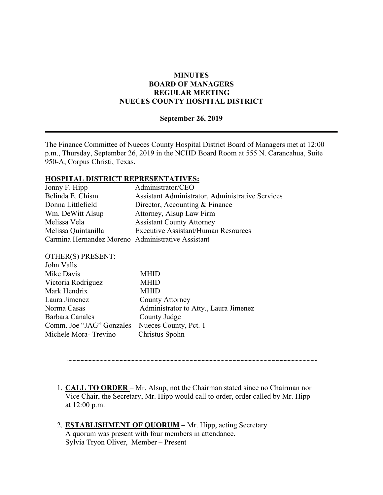### **MINUTES BOARD OF MANAGERS REGULAR MEETING NUECES COUNTY HOSPITAL DISTRICT**

#### **September 26, 2019**

The Finance Committee of Nueces County Hospital District Board of Managers met at 12:00 p.m., Thursday, September 26, 2019 in the NCHD Board Room at 555 N. Carancahua, Suite 950-A, Corpus Christi, Texas.

#### **HOSPITAL DISTRICT REPRESENTATIVES:**

| Jonny F. Hipp                                     | Administrator/CEO                                |
|---------------------------------------------------|--------------------------------------------------|
| Belinda E. Chism                                  | Assistant Administrator, Administrative Services |
| Donna Littlefield                                 | Director, Accounting & Finance                   |
| Wm. DeWitt Alsup                                  | Attorney, Alsup Law Firm                         |
| Melissa Vela                                      | <b>Assistant County Attorney</b>                 |
| Melissa Quintanilla                               | <b>Executive Assistant/Human Resources</b>       |
| Carmina Hernandez Moreno Administrative Assistant |                                                  |

#### OTHER(S) PRESENT:

| John Valls               |                                       |
|--------------------------|---------------------------------------|
| Mike Davis               | <b>MHID</b>                           |
| Victoria Rodriguez       | <b>MHID</b>                           |
| Mark Hendrix             | <b>MHID</b>                           |
| Laura Jimenez            | <b>County Attorney</b>                |
| Norma Casas              | Administrator to Atty., Laura Jimenez |
| Barbara Canales          | County Judge                          |
| Comm. Joe "JAG" Gonzales | Nueces County, Pct. 1                 |
| Michele Mora-Trevino     | Christus Spohn                        |
|                          |                                       |

1. **CALL TO ORDER** – Mr. Alsup, not the Chairman stated since no Chairman nor Vice Chair, the Secretary, Mr. Hipp would call to order, order called by Mr. Hipp at 12:00 p.m.

**~~~~~~~~~~~~~~~~~~~~~~~~~~~~~~~~~~~~~~~~~~~~~~~~~~~~~~~~~~~~~~~~**

2. **ESTABLISHMENT OF QUORUM –** Mr. Hipp, acting Secretary A quorum was present with four members in attendance. Sylvia Tryon Oliver, Member – Present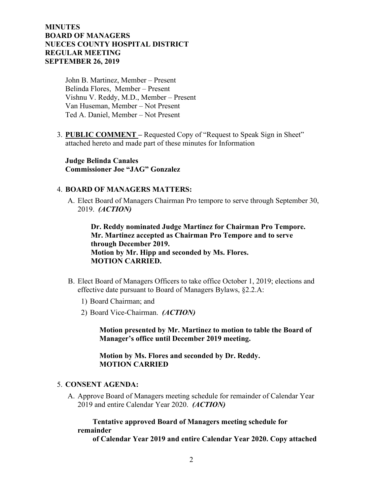John B. Martinez, Member – Present Belinda Flores, Member – Present Vishnu V. Reddy, M.D., Member – Present Van Huseman, Member – Not Present Ted A. Daniel, Member – Not Present

3. **PUBLIC COMMENT –** Requested Copy of "Request to Speak Sign in Sheet" attached hereto and made part of these minutes for Information

**Judge Belinda Canales Commissioner Joe "JAG" Gonzalez**

#### 4. **BOARD OF MANAGERS MATTERS:**

A. Elect Board of Managers Chairman Pro tempore to serve through September 30, 2019. *(ACTION)*

 **Dr. Reddy nominated Judge Martinez for Chairman Pro Tempore. Mr. Martinez accepted as Chairman Pro Tempore and to serve through December 2019. Motion by Mr. Hipp and seconded by Ms. Flores. MOTION CARRIED.** 

- B. Elect Board of Managers Officers to take office October 1, 2019; elections and effective date pursuant to Board of Managers Bylaws, §2.2.A:
	- 1) Board Chairman; and
	- 2) Board Vice-Chairman. *(ACTION)*

 **Motion presented by Mr. Martinez to motion to table the Board of Manager's office until December 2019 meeting.**

 **Motion by Ms. Flores and seconded by Dr. Reddy. MOTION CARRIED** 

#### 5. **CONSENT AGENDA:**

A. Approve Board of Managers meeting schedule for remainder of Calendar Year 2019 and entire Calendar Year 2020. *(ACTION)*

 **Tentative approved Board of Managers meeting schedule for remainder** 

 **of Calendar Year 2019 and entire Calendar Year 2020. Copy attached**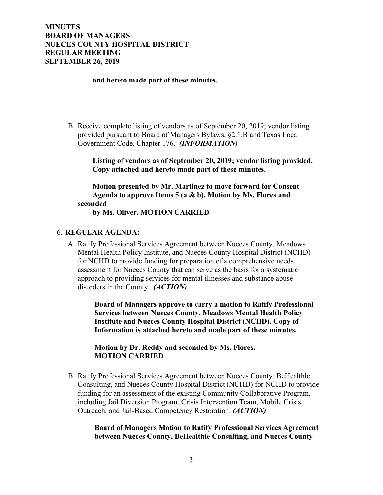#### **and hereto made part of these minutes.**

B. Receive complete listing of vendors as of September 20, 2019; vendor listing provided pursuant to Board of Managers Bylaws, §2.1.B and Texas Local Government Code, Chapter 176. *(INFORMATION)*

> **Listing of vendors as of September 20, 2019; vendor listing provided. Copy attached and hereto made part of these minutes.**

 **Motion presented by Mr. Martinez to move forward for Consent Agenda to approve Items 5 (a & b). Motion by Ms. Flores and seconded**

 **by Ms. Oliver. MOTION CARRIED**

#### 6. **REGULAR AGENDA:**

A. Ratify Professional Services Agreement between Nueces County, Meadows Mental Health Policy Institute, and Nueces County Hospital District (NCHD) for NCHD to provide funding for preparation of a comprehensive needs assessment for Nueces County that can serve as the basis for a systematic approach to providing services for mental illnesses and substance abuse disorders in the County. *(ACTION)*

> **Board of Managers approve to carry a motion to Ratify Professional Services between Nueces County, Meadows Mental Health Policy Institute and Nueces County Hospital District (NCHD). Copy of Information is attached hereto and made part of these minutes.**

 **Motion by Dr. Reddy and seconded by Ms. Flores. MOTION CARRIED**

B. Ratify Professional Services Agreement between Nueces County, BeHealthle Consulting, and Nueces County Hospital District (NCHD) for NCHD to provide funding for an assessment of the existing Community Collaborative Program, including Jail Diversion Program, Crisis Intervention Team, Mobile Crisis Outreach, and Jail-Based Competency Restoration. *(ACTION)*

#### **Board of Managers Motion to Ratify Professional Services Agreement between Nueces County, BeHealthle Consulting, and Nueces County**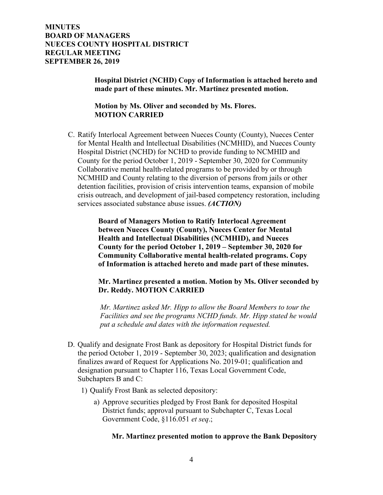**Hospital District (NCHD) Copy of Information is attached hereto and made part of these minutes. Mr. Martinez presented motion.** 

 **Motion by Ms. Oliver and seconded by Ms. Flores. MOTION CARRIED**

C. Ratify Interlocal Agreement between Nueces County (County), Nueces Center for Mental Health and Intellectual Disabilities (NCMHID), and Nueces County Hospital District (NCHD) for NCHD to provide funding to NCMHID and County for the period October 1, 2019 - September 30, 2020 for Community Collaborative mental health-related programs to be provided by or through NCMHID and County relating to the diversion of persons from jails or other detention facilities, provision of crisis intervention teams, expansion of mobile crisis outreach, and development of jail-based competency restoration, including services associated substance abuse issues. *(ACTION)*

> **Board of Managers Motion to Ratify Interlocal Agreement between Nueces County (County), Nueces Center for Mental Health and Intellectual Disabilities (NCMHID), and Nueces County for the period October 1, 2019 – September 30, 2020 for Community Collaborative mental health-related programs. Copy of Information is attached hereto and made part of these minutes.**

 **Mr. Martinez presented a motion. Motion by Ms. Oliver seconded by Dr. Reddy. MOTION CARRIED**

 *Mr. Martinez asked Mr. Hipp to allow the Board Members to tour the Facilities and see the programs NCHD funds. Mr. Hipp stated he would put a schedule and dates with the information requested.*

- D. Qualify and designate Frost Bank as depository for Hospital District funds for the period October 1, 2019 - September 30, 2023; qualification and designation finalizes award of Request for Applications No. 2019-01; qualification and designation pursuant to Chapter 116, Texas Local Government Code, Subchapters B and C:
	- 1) Qualify Frost Bank as selected depository:
		- a) Approve securities pledged by Frost Bank for deposited Hospital District funds; approval pursuant to Subchapter C, Texas Local Government Code, §116.051 *et seq*.;

### **Mr. Martinez presented motion to approve the Bank Depository**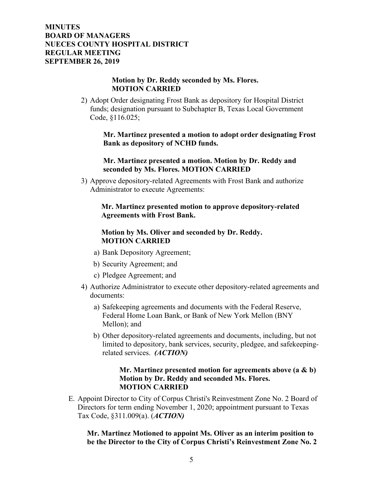### **Motion by Dr. Reddy seconded by Ms. Flores. MOTION CARRIED**

2) Adopt Order designating Frost Bank as depository for Hospital District funds; designation pursuant to Subchapter B, Texas Local Government Code, §116.025;

> **Mr. Martinez presented a motion to adopt order designating Frost Bank as depository of NCHD funds.**

#### **Mr. Martinez presented a motion. Motion by Dr. Reddy and seconded by Ms. Flores. MOTION CARRIED**

3) Approve depository-related Agreements with Frost Bank and authorize Administrator to execute Agreements:

### **Mr. Martinez presented motion to approve depository-related Agreements with Frost Bank.**

## **Motion by Ms. Oliver and seconded by Dr. Reddy. MOTION CARRIED**

- a) Bank Depository Agreement;
- b) Security Agreement; and
- c) Pledgee Agreement; and
- 4) Authorize Administrator to execute other depository-related agreements and documents:
	- a) Safekeeping agreements and documents with the Federal Reserve, Federal Home Loan Bank, or Bank of New York Mellon (BNY Mellon); and
	- b) Other depository-related agreements and documents, including, but not limited to depository, bank services, security, pledgee, and safekeepingrelated services. *(ACTION)*

### **Mr. Martinez presented motion for agreements above (a & b) Motion by Dr. Reddy and seconded Ms. Flores. MOTION CARRIED**

E. Appoint Director to City of Corpus Christi's Reinvestment Zone No. 2 Board of Directors for term ending November 1, 2020; appointment pursuant to Texas Tax Code, §311.009(a). (*ACTION)*

## **Mr. Martinez Motioned to appoint Ms. Oliver as an interim position to be the Director to the City of Corpus Christi's Reinvestment Zone No. 2**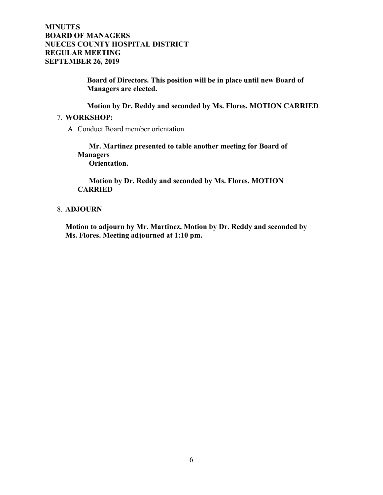**Board of Directors. This position will be in place until new Board of Managers are elected.**

 **Motion by Dr. Reddy and seconded by Ms. Flores. MOTION CARRIED**

#### 7. **WORKSHOP:**

A. Conduct Board member orientation.

 **Mr. Martinez presented to table another meeting for Board of Managers Orientation.**

 **Motion by Dr. Reddy and seconded by Ms. Flores. MOTION CARRIED**

### 8. **ADJOURN**

**Motion to adjourn by Mr. Martinez. Motion by Dr. Reddy and seconded by Ms. Flores. Meeting adjourned at 1:10 pm.**